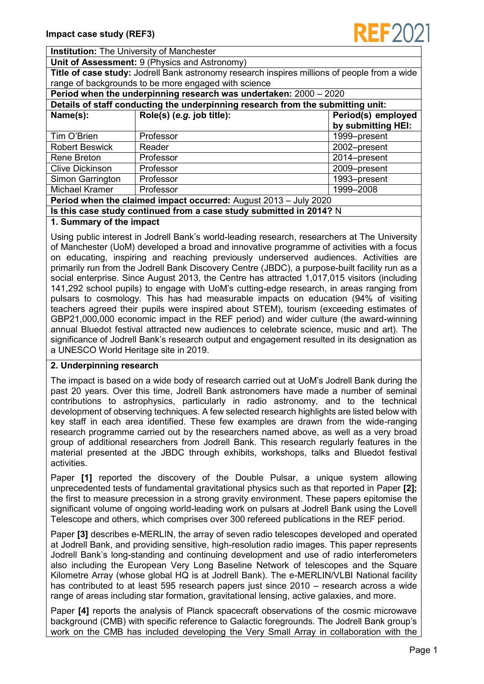

**Institution:** The University of Manchester

**Unit of Assessment:** 9 (Physics and Astronomy)

**Title of case study:** Jodrell Bank astronomy research inspires millions of people from a wide range of backgrounds to be more engaged with science

| Period when the underpinning research was undertaken: 2000 - 2020               |                           |                    |
|---------------------------------------------------------------------------------|---------------------------|--------------------|
| Details of staff conducting the underpinning research from the submitting unit: |                           |                    |
| Name(s):                                                                        | Role(s) (e.g. job title): | Period(s) employed |
|                                                                                 |                           | by submitting HEI: |
| Tim O'Brien                                                                     | Professor                 | 1999-present       |
| <b>Robert Beswick</b>                                                           | Reader                    | 2002-present       |
| Rene Breton                                                                     | Professor                 | 2014-present       |
| <b>Clive Dickinson</b>                                                          | Professor                 | 2009-present       |
| Simon Garrington                                                                | Professor                 | 1993-present       |
| Michael Kramer                                                                  | Professor                 | 1999-2008          |
| <b>Period when the claimed impact occurred:</b> August 2013 - July 2020         |                           |                    |
| Is this case study continued from a case study submitted in 2014? N             |                           |                    |

#### **1. Summary of the impact**

Using public interest in Jodrell Bank's world-leading research, researchers at The University of Manchester (UoM) developed a broad and innovative programme of activities with a focus on educating, inspiring and reaching previously underserved audiences. Activities are primarily run from the Jodrell Bank Discovery Centre (JBDC), a purpose-built facility run as a social enterprise. Since August 2013, the Centre has attracted 1,017,015 visitors (including 141,292 school pupils) to engage with UoM's cutting-edge research, in areas ranging from pulsars to cosmology. This has had measurable impacts on education (94% of visiting teachers agreed their pupils were inspired about STEM), tourism (exceeding estimates of GBP21,000,000 economic impact in the REF period) and wider culture (the award-winning annual Bluedot festival attracted new audiences to celebrate science, music and art). The significance of Jodrell Bank's research output and engagement resulted in its designation as a UNESCO World Heritage site in 2019.

## **2. Underpinning research**

The impact is based on a wide body of research carried out at UoM's Jodrell Bank during the past 20 years. Over this time, Jodrell Bank astronomers have made a number of seminal contributions to astrophysics, particularly in radio astronomy, and to the technical development of observing techniques. A few selected research highlights are listed below with key staff in each area identified. These few examples are drawn from the wide-ranging research programme carried out by the researchers named above, as well as a very broad group of additional researchers from Jodrell Bank. This research regularly features in the material presented at the JBDC through exhibits, workshops, talks and Bluedot festival activities.

Paper **[1]** reported the discovery of the Double Pulsar, a unique system allowing unprecedented tests of fundamental gravitational physics such as that reported in Paper **[2];**  the first to measure precession in a strong gravity environment. These papers epitomise the significant volume of ongoing world-leading work on pulsars at Jodrell Bank using the Lovell Telescope and others, which comprises over 300 refereed publications in the REF period.

Paper **[3]** describes e-MERLIN, the array of seven radio telescopes developed and operated at Jodrell Bank, and providing sensitive, high-resolution radio images. This paper represents Jodrell Bank's long-standing and continuing development and use of radio interferometers also including the European Very Long Baseline Network of telescopes and the Square Kilometre Array (whose global HQ is at Jodrell Bank). The e-MERLIN/VLBI National facility has contributed to at least 595 research papers just since 2010 – research across a wide range of areas including star formation, gravitational lensing, active galaxies, and more.

Paper **[4]** reports the analysis of Planck spacecraft observations of the cosmic microwave background (CMB) with specific reference to Galactic foregrounds. The Jodrell Bank group's work on the CMB has included developing the Very Small Array in collaboration with the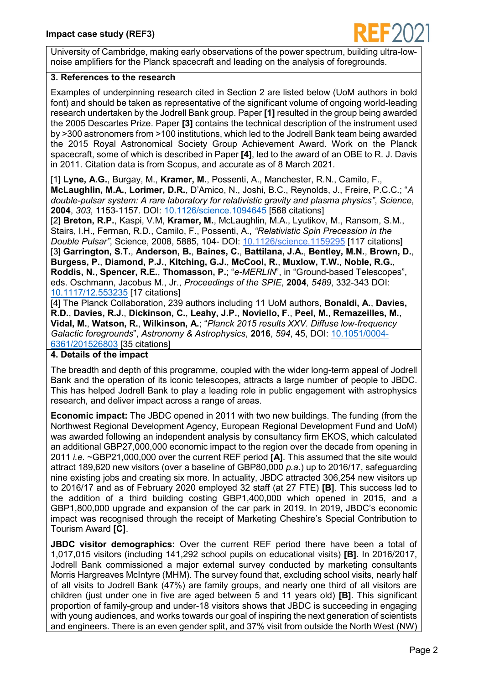

University of Cambridge, making early observations of the power spectrum, building ultra-lownoise amplifiers for the Planck spacecraft and leading on the analysis of foregrounds.

# **3. References to the research**

Examples of underpinning research cited in Section 2 are listed below (UoM authors in bold font) and should be taken as representative of the significant volume of ongoing world-leading research undertaken by the Jodrell Bank group. Paper **[1]** resulted in the group being awarded the 2005 Descartes Prize. Paper **[3]** contains the technical description of the instrument used by >300 astronomers from >100 institutions, which led to the Jodrell Bank team being awarded the 2015 Royal Astronomical Society Group Achievement Award. Work on the Planck spacecraft, some of which is described in Paper **[4]**, led to the award of an OBE to R. J. Davis in 2011. Citation data is from Scopus, and accurate as of 8 March 2021.

[1] **Lyne, A.G.**, Burgay, M., **Kramer, M.**, Possenti, A., Manchester, R.N., Camilo, F., **McLaughlin, M.A.**, **Lorimer, D.R.**, D'Amico, N., Joshi, B.C., Reynolds, J., Freire, P.C.C.; "*A double-pulsar system: A rare laboratory for relativistic gravity and plasma physics"*, *Science*, **2004**, *303*, 1153-1157. DOI: [10.1126/science.1094645](https://doi.org/10.1126/science.1094645) [568 citations]

[2] **Breton, R.P.**, Kaspi, V.M, **Kramer, M.**, McLaughlin, M.A., Lyutikov, M., Ransom, S.M., Stairs, I.H., Ferman, R.D., Camilo, F., Possenti, A., *"Relativistic Spin Precession in the Double Pulsar"*, Science, 2008, 5885, 104- DOI: [10.1126/science.1159295](https://ui.adsabs.harvard.edu/link_gateway/2008Sci...321..104B/doi:10.1126/science.1159295) [117 citations] [3] **Garrington, S.T.**, **Anderson, B.**, **Baines, C.**, **Battilana, J.A.**, **Bentley, M.N.**, **Brown, D.**, **Burgess, P.**, **Diamond, P.J.**, **Kitching, G.J.**, **McCool, R.**, **Muxlow, T.W.**, **Noble, R.G.**, **Roddis, N.**, **Spencer, R.E.**, **Thomasson, P.**; "*e-MERLIN*", in "Ground-based Telescopes", eds. Oschmann, Jacobus M., Jr., *Proceedings of the SPIE*, **2004**, *5489*, 332-343 DOI: [10.1117/12.553235](https://doi.org/10.1117/12.553235) [17 citations]

[4] The Planck Collaboration, 239 authors including 11 UoM authors, **Bonaldi, A.**, **Davies, R.D.**, **Davies, R.J.**, **Dickinson, C.**, **Leahy, J.P.**, **Noviello, F.**, **Peel, M.**, **Remazeilles, M.**, **Vidal, M.**, **Watson, R.**, **Wilkinson, A.**; "*Planck 2015 results XXV. Diffuse low-frequency Galactic foregrounds*", *Astronomy & Astrophysics*, **2016**, *594*, 45, DOI: [10.1051/0004-](https://doi.org/10.1051/0004-6361/201526803) [6361/201526803](https://doi.org/10.1051/0004-6361/201526803) [35 citations]

# **4. Details of the impact**

The breadth and depth of this programme, coupled with the wider long-term appeal of Jodrell Bank and the operation of its iconic telescopes, attracts a large number of people to JBDC. This has helped Jodrell Bank to play a leading role in public engagement with astrophysics research, and deliver impact across a range of areas.

**Economic impact:** The JBDC opened in 2011 with two new buildings. The funding (from the Northwest Regional Development Agency, European Regional Development Fund and UoM) was awarded following an independent analysis by consultancy firm EKOS, which calculated an additional GBP27,000,000 economic impact to the region over the decade from opening in 2011 *i.e.* ~GBP21,000,000 over the current REF period **[A]**. This assumed that the site would attract 189,620 new visitors (over a baseline of GBP80,000 *p.a.*) up to 2016/17, safeguarding nine existing jobs and creating six more. In actuality, JBDC attracted 306,254 new visitors up to 2016/17 and as of February 2020 employed 32 staff (at 27 FTE) **[B]**. This success led to the addition of a third building costing GBP1,400,000 which opened in 2015, and a GBP1,800,000 upgrade and expansion of the car park in 2019. In 2019, JBDC's economic impact was recognised through the receipt of Marketing Cheshire's Special Contribution to Tourism Award **[C]**.

**JBDC visitor demographics:** Over the current REF period there have been a total of 1,017,015 visitors (including 141,292 school pupils on educational visits) **[B]**. In 2016/2017, Jodrell Bank commissioned a major external survey conducted by marketing consultants Morris Hargreaves McIntyre (MHM). The survey found that, excluding school visits, nearly half of all visits to Jodrell Bank (47%) are family groups, and nearly one third of all visitors are children (just under one in five are aged between 5 and 11 years old) **[B]**. This significant proportion of family-group and under-18 visitors shows that JBDC is succeeding in engaging with young audiences, and works towards our goal of inspiring the next generation of scientists and engineers. There is an even gender split, and 37% visit from outside the North West (NW)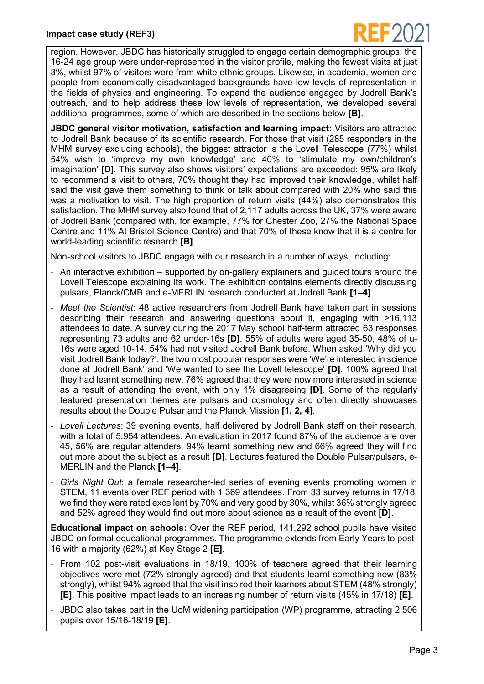

region. However, JBDC has historically struggled to engage certain demographic groups; the 16-24 age group were under-represented in the visitor profile, making the fewest visits at just 3%, whilst 97% of visitors were from white ethnic groups. Likewise, in academia, women and people from economically disadvantaged backgrounds have low levels of representation in the fields of physics and engineering. To expand the audience engaged by Jodrell Bank's outreach, and to help address these low levels of representation, we developed several additional programmes, some of which are described in the sections below **[B]**.

**JBDC general visitor motivation, satisfaction and learning impact:** Visitors are attracted to Jodrell Bank because of its scientific research. For those that visit (285 responders in the MHM survey excluding schools), the biggest attractor is the Lovell Telescope (77%) whilst 54% wish to 'improve my own knowledge' and 40% to 'stimulate my own/children's imagination' **[D]**. This survey also shows visitors' expectations are exceeded: 95% are likely to recommend a visit to others, 70% thought they had improved their knowledge, whilst half said the visit gave them something to think or talk about compared with 20% who said this was a motivation to visit. The high proportion of return visits (44%) also demonstrates this satisfaction. The MHM survey also found that of 2,117 adults across the UK, 37% were aware of Jodrell Bank (compared with, for example, 77% for Chester Zoo, 27% the National Space Centre and 11% At Bristol Science Centre) and that 70% of these know that it is a centre for world-leading scientific research **[B]**.

Non-school visitors to JBDC engage with our research in a number of ways, including:

- An interactive exhibition supported by on-gallery explainers and guided tours around the Lovell Telescope explaining its work. The exhibition contains elements directly discussing pulsars, Planck/CMB and e-MERLIN research conducted at Jodrell Bank **[1‒4]**.
- *Meet the Scientist*: 48 active researchers from Jodrell Bank have taken part in sessions describing their research and answering questions about it, engaging with >16,113 attendees to date. A survey during the 2017 May school half-term attracted 63 responses representing 73 adults and 62 under-16s **[D]**. 55% of adults were aged 35-50, 48% of u-16s were aged 10-14. 54% had not visited Jodrell Bank before. When asked 'Why did you visit Jodrell Bank today?', the two most popular responses were 'We're interested in science done at Jodrell Bank' and 'We wanted to see the Lovell telescope' **[D]**. 100% agreed that they had learnt something new, 76% agreed that they were now more interested in science as a result of attending the event, with only 1% disagreeing **[D]**. Some of the regularly featured presentation themes are pulsars and cosmology and often directly showcases results about the Double Pulsar and the Planck Mission **[1, 2, 4]**.
- *Lovell Lectures*: 39 evening events, half delivered by Jodrell Bank staff on their research, with a total of 5,954 attendees. An evaluation in 2017 found 87% of the audience are over 45, 56% are regular attenders, 94% learnt something new and 66% agreed they will find out more about the subject as a result **[D]**. Lectures featured the Double Pulsar/pulsars, e-MERLIN and the Planck **[1‒4]**.
- *Girls Night Out*: a female researcher-led series of evening events promoting women in STEM, 11 events over REF period with 1,369 attendees. From 33 survey returns in 17/18, we find they were rated excellent by 70% and very good by 30%, whilst 36% strongly agreed and 52% agreed they would find out more about science as a result of the event **[D]**.

**Educational impact on schools:** Over the REF period, 141,292 school pupils have visited JBDC on formal educational programmes. The programme extends from Early Years to post-16 with a majority (62%) at Key Stage 2 **[E]**.

- From 102 post-visit evaluations in 18/19, 100% of teachers agreed that their learning objectives were met (72% strongly agreed) and that students learnt something new (83% strongly), whilst 94% agreed that the visit inspired their learners about STEM (48% strongly) **[E]**. This positive impact leads to an increasing number of return visits (45% in 17/18) **[E]**.
- JBDC also takes part in the UoM widening participation (WP) programme, attracting 2,506 pupils over 15/16-18/19 **[E]**.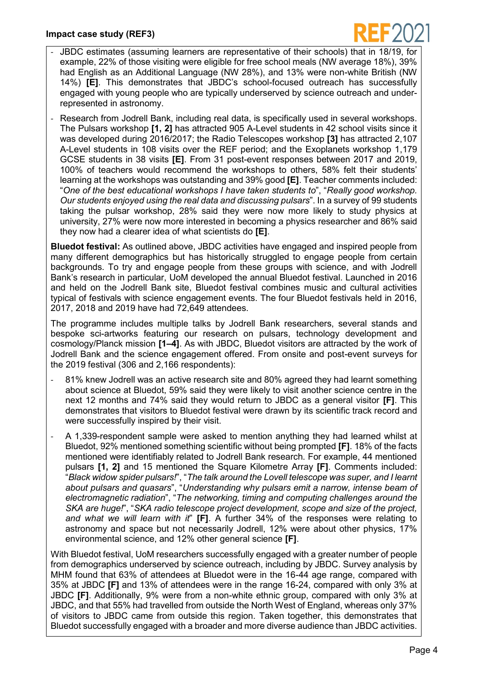

- JBDC estimates (assuming learners are representative of their schools) that in 18/19, for example, 22% of those visiting were eligible for free school meals (NW average 18%), 39% had English as an Additional Language (NW 28%), and 13% were non-white British (NW 14%) **[E]**. This demonstrates that JBDC's school-focused outreach has successfully engaged with young people who are typically underserved by science outreach and underrepresented in astronomy.
- Research from Jodrell Bank, including real data, is specifically used in several workshops. The Pulsars workshop **[1, 2]** has attracted 905 A-Level students in 42 school visits since it was developed during 2016/2017; the Radio Telescopes workshop **[3]** has attracted 2,107 A-Level students in 108 visits over the REF period; and the Exoplanets workshop 1,179 GCSE students in 38 visits **[E]**. From 31 post-event responses between 2017 and 2019, 100% of teachers would recommend the workshops to others, 58% felt their students' learning at the workshops was outstanding and 39% good **[E]**. Teacher comments included: "*One of the best educational workshops I have taken students to*", "*Really good workshop. Our students enjoyed using the real data and discussing pulsars*". In a survey of 99 students taking the pulsar workshop, 28% said they were now more likely to study physics at university, 27% were now more interested in becoming a physics researcher and 86% said they now had a clearer idea of what scientists do **[E]**.

**Bluedot festival:** As outlined above, JBDC activities have engaged and inspired people from many different demographics but has historically struggled to engage people from certain backgrounds. To try and engage people from these groups with science, and with Jodrell Bank's research in particular, UoM developed the annual Bluedot festival. Launched in 2016 and held on the Jodrell Bank site, Bluedot festival combines music and cultural activities typical of festivals with science engagement events. The four Bluedot festivals held in 2016, 2017, 2018 and 2019 have had 72,649 attendees.

The programme includes multiple talks by Jodrell Bank researchers, several stands and bespoke sci-artworks featuring our research on pulsars, technology development and cosmology/Planck mission **[1‒4]**. As with JBDC, Bluedot visitors are attracted by the work of Jodrell Bank and the science engagement offered. From onsite and post-event surveys for the 2019 festival (306 and 2,166 respondents):

- 81% knew Jodrell was an active research site and 80% agreed they had learnt something about science at Bluedot, 59% said they were likely to visit another science centre in the next 12 months and 74% said they would return to JBDC as a general visitor **[F]**. This demonstrates that visitors to Bluedot festival were drawn by its scientific track record and were successfully inspired by their visit.
- A 1,339-respondent sample were asked to mention anything they had learned whilst at Bluedot, 92% mentioned something scientific without being prompted **[F]**. 18% of the facts mentioned were identifiably related to Jodrell Bank research. For example, 44 mentioned pulsars **[1, 2]** and 15 mentioned the Square Kilometre Array **[F]**. Comments included: "*Black widow spider pulsars!*", "*The talk around the Lovell telescope was super, and I learnt about pulsars and quasars*", "*Understanding why pulsars emit a narrow, intense beam of electromagnetic radiation*", "*The networking, timing and computing challenges around the SKA are huge!*", "*SKA radio telescope project development, scope and size of the project, and what we will learn with it*" **[F]**. A further 34% of the responses were relating to astronomy and space but not necessarily Jodrell, 12% were about other physics, 17% environmental science, and 12% other general science **[F]**.

With Bluedot festival, UoM researchers successfully engaged with a greater number of people from demographics underserved by science outreach, including by JBDC. Survey analysis by MHM found that 63% of attendees at Bluedot were in the 16-44 age range, compared with 35% at JBDC **[F]** and 13% of attendees were in the range 16-24, compared with only 3% at JBDC **[F]**. Additionally, 9% were from a non-white ethnic group, compared with only 3% at JBDC, and that 55% had travelled from outside the North West of England, whereas only 37% of visitors to JBDC came from outside this region. Taken together, this demonstrates that Bluedot successfully engaged with a broader and more diverse audience than JBDC activities.